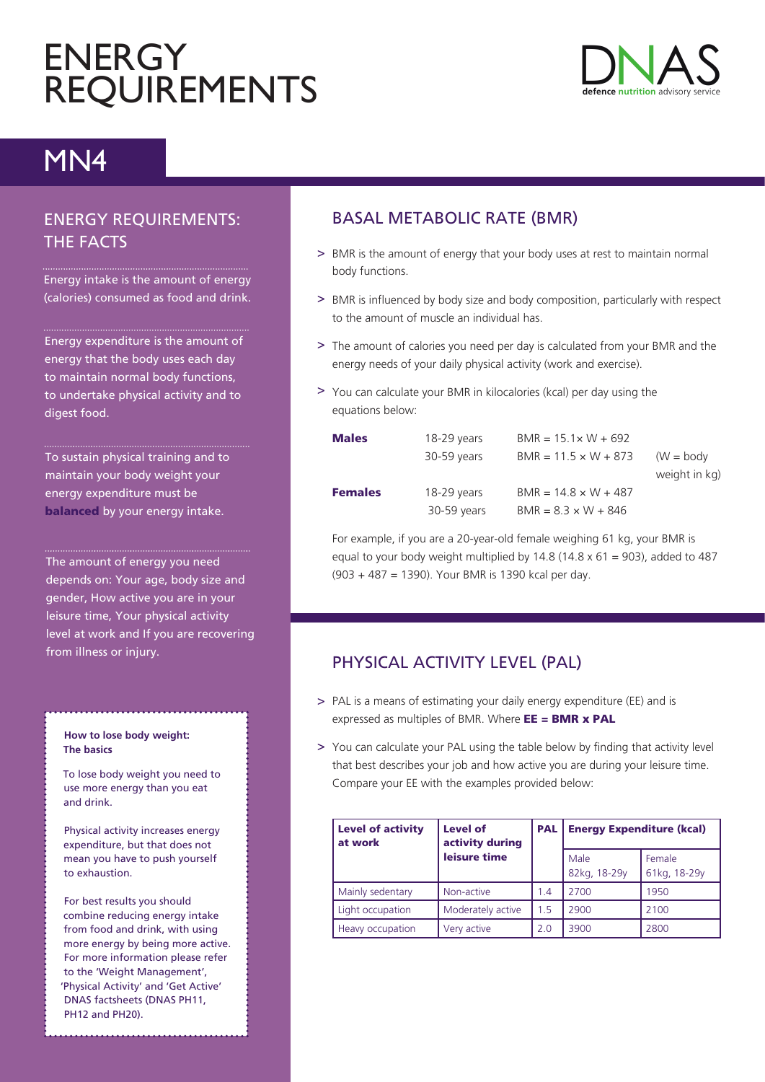# **ENERGY REQUIREMENTS**



## MN4

#### ENERGY REQUIREMENTS: THE FACTS

Energy intake is the amount of energy (calories) consumed as food and drink.

Energy expenditure is the amount of energy that the body uses each day to maintain normal body functions, to undertake physical activity and to digest food.

To sustain physical training and to maintain your body weight your energy expenditure must be **balanced** by your energy intake.

The amount of energy you need depends on: Your age, body size and gender, How active you are in your leisure time, Your physical activity level at work and If you are recovering from illness or injury.

#### **How to lose body weight: The basics**

To lose body weight you need to use more energy than you eat and drink.

Physical activity increases energy expenditure, but that does not mean you have to push yourself to exhaustion.

For best results you should combine reducing energy intake from food and drink, with using more energy by being more active. For more information please refer to the 'Weight Management', 'Physical Activity' and 'Get Active' DNAS factsheets (DNAS PH11, PH12 and PH20).

### BASAL METABOLIC RATE (BMR)

- > BMR is the amount of energy that your body uses at rest to maintain normal body functions.
- > BMR is influenced by body size and body composition, particularly with respect to the amount of muscle an individual has.
- > The amount of calories you need per day is calculated from your BMR and the energy needs of your daily physical activity (work and exercise).
- > You can calculate your BMR in kilocalories (kcal) per day using the equations below:

| <b>Males</b>   | 18-29 years | $BMR = 15.1 \times W + 692$ |               |
|----------------|-------------|-----------------------------|---------------|
|                | 30-59 years | $BMR = 11.5 \times W + 873$ | $(W = body)$  |
|                |             |                             | weight in kg) |
| <b>Females</b> | 18-29 years | $BMR = 14.8 \times W + 487$ |               |
|                | 30-59 years | $BMR = 8.3 \times W + 846$  |               |

For example, if you are a 20-year-old female weighing 61 kg, your BMR is equal to your body weight multiplied by  $14.8$  ( $14.8 \times 61 = 903$ ), added to 487 (903 + 487 = 1390). Your BMR is 1390 kcal per day.

### PHYSICAL ACTIVITY LEVEL (PAL)

- > PAL is a means of estimating your daily energy expenditure (EE) and is expressed as multiples of BMR. Where  $EE = BMR \times PAL$
- > You can calculate your PAL using the table below by finding that activity level that best describes your job and how active you are during your leisure time. Compare your EE with the examples provided below:

| <b>Level of activity</b><br>at work | Level of<br>activity during | <b>PAL</b> | <b>Energy Expenditure (kcal)</b> |                        |
|-------------------------------------|-----------------------------|------------|----------------------------------|------------------------|
|                                     | leisure time                |            | Male<br>82kg, 18-29y             | Female<br>61kg, 18-29y |
| Mainly sedentary                    | Non-active                  | 1.4        | 2700                             | 1950                   |
| Light occupation                    | Moderately active           | 1.5        | 2900                             | 2100                   |
| Heavy occupation                    | Very active                 | 2.0        | 3900                             | 2800                   |